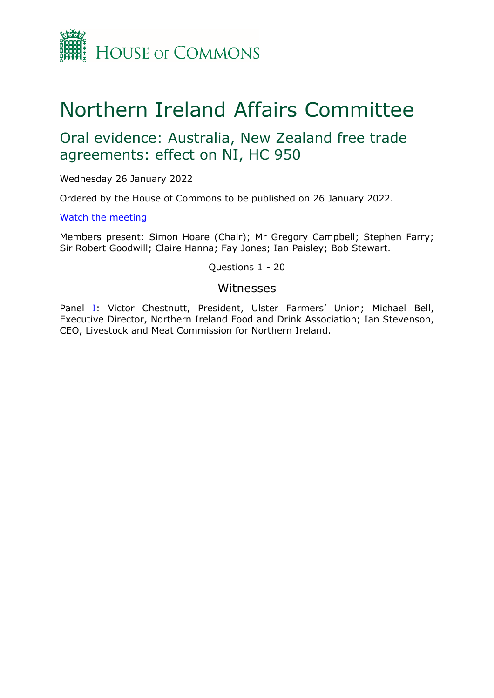

## Northern Ireland Affairs Committee

## Oral evidence: Australia, New Zealand free trade agreements: effect on NI, HC 950

Wednesday 26 January 2022

Ordered by the House of Commons to be published on 26 January 2022.

[Watch](https://www.parliamentlive.tv/Event/Index/2e2d97de-f3cf-44a1-ab91-ac80db763019) [the](https://www.parliamentlive.tv/Event/Index/2e2d97de-f3cf-44a1-ab91-ac80db763019) [meeting](https://www.parliamentlive.tv/Event/Index/2e2d97de-f3cf-44a1-ab91-ac80db763019)

Members present: Simon Hoare (Chair); Mr Gregory Campbell; Stephen Farry; Sir Robert Goodwill; Claire Hanna; Fay Jones; Ian Paisley; Bob Stewart.

Questions 1 - 20

## Witnesses

Panel [I:](#page-1-0) Victor Chestnutt, President, Ulster Farmers' Union; Michael Bell, Executive Director, Northern Ireland Food and Drink Association; Ian Stevenson, CEO, Livestock and Meat Commission for Northern Ireland.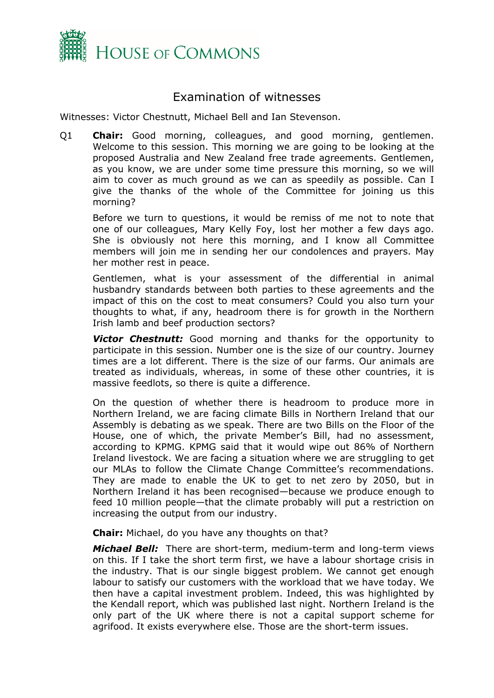

## Examination of witnesses

<span id="page-1-0"></span>Witnesses: Victor Chestnutt, Michael Bell and Ian Stevenson.

Q1 **Chair:** Good morning, colleagues, and good morning, gentlemen. Welcome to this session. This morning we are going to be looking at the proposed Australia and New Zealand free trade agreements. Gentlemen, as you know, we are under some time pressure this morning, so we will aim to cover as much ground as we can as speedily as possible. Can I give the thanks of the whole of the Committee for joining us this morning?

Before we turn to questions, it would be remiss of me not to note that one of our colleagues, Mary Kelly Foy, lost her mother a few days ago. She is obviously not here this morning, and I know all Committee members will join me in sending her our condolences and prayers. May her mother rest in peace.

Gentlemen, what is your assessment of the differential in animal husbandry standards between both parties to these agreements and the impact of this on the cost to meat consumers? Could you also turn your thoughts to what, if any, headroom there is for growth in the Northern Irish lamb and beef production sectors?

**Victor Chestnutt:** Good morning and thanks for the opportunity to participate in this session. Number one is the size of our country. Journey times are a lot different. There is the size of our farms. Our animals are treated as individuals, whereas, in some of these other countries, it is massive feedlots, so there is quite a difference.

On the question of whether there is headroom to produce more in Northern Ireland, we are facing climate Bills in Northern Ireland that our Assembly is debating as we speak. There are two Bills on the Floor of the House, one of which, the private Member's Bill, had no assessment, according to KPMG. KPMG said that it would wipe out 86% of Northern Ireland livestock. We are facing a situation where we are struggling to get our MLAs to follow the Climate Change Committee's recommendations. They are made to enable the UK to get to net zero by 2050, but in Northern Ireland it has been recognised—because we produce enough to feed 10 million people—that the climate probably will put a restriction on increasing the output from our industry.

**Chair:** Michael, do you have any thoughts on that?

*Michael Bell:* There are short-term, medium-term and long-term views on this. If I take the short term first, we have a labour shortage crisis in the industry. That is our single biggest problem. We cannot get enough labour to satisfy our customers with the workload that we have today. We then have a capital investment problem. Indeed, this was highlighted by the Kendall report, which was published last night. Northern Ireland is the only part of the UK where there is not a capital support scheme for agrifood. It exists everywhere else. Those are the short-term issues.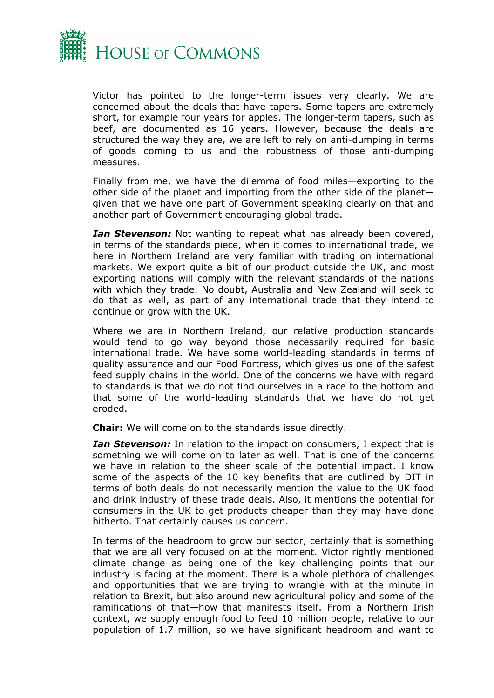

Victor has pointed to the longer-term issues very clearly. We are concerned about the deals that have tapers. Some tapers are extremely short, for example four years for apples. The longer-term tapers, such as beef, are documented as 16 years. However, because the deals are structured the way they are, we are left to rely on anti-dumping in terms of goods coming to us and the robustness of those anti-dumping measures.

Finally from me, we have the dilemma of food miles—exporting to the other side of the planet and importing from the other side of the planet given that we have one part of Government speaking clearly on that and another part of Government encouraging global trade.

*Ian Stevenson:* Not wanting to repeat what has already been covered, in terms of the standards piece, when it comes to international trade, we here in Northern Ireland are very familiar with trading on international markets. We export quite a bit of our product outside the UK, and most exporting nations will comply with the relevant standards of the nations with which they trade. No doubt, Australia and New Zealand will seek to do that as well, as part of any international trade that they intend to continue or grow with the UK.

Where we are in Northern Ireland, our relative production standards would tend to go way beyond those necessarily required for basic international trade. We have some world-leading standards in terms of quality assurance and our Food Fortress, which gives us one of the safest feed supply chains in the world. One of the concerns we have with regard to standards is that we do not find ourselves in a race to the bottom and that some of the world-leading standards that we have do not get eroded.

**Chair:** We will come on to the standards issue directly.

*Ian Stevenson:* In relation to the impact on consumers, I expect that is something we will come on to later as well. That is one of the concerns we have in relation to the sheer scale of the potential impact. I know some of the aspects of the 10 key benefits that are outlined by DIT in terms of both deals do not necessarily mention the value to the UK food and drink industry of these trade deals. Also, it mentions the potential for consumers in the UK to get products cheaper than they may have done hitherto. That certainly causes us concern.

In terms of the headroom to grow our sector, certainly that is something that we are all very focused on at the moment. Victor rightly mentioned climate change as being one of the key challenging points that our industry is facing at the moment. There is a whole plethora of challenges and opportunities that we are trying to wrangle with at the minute in relation to Brexit, but also around new agricultural policy and some of the ramifications of that—how that manifests itself. From a Northern Irish context, we supply enough food to feed 10 million people, relative to our population of 1.7 million, so we have significant headroom and want to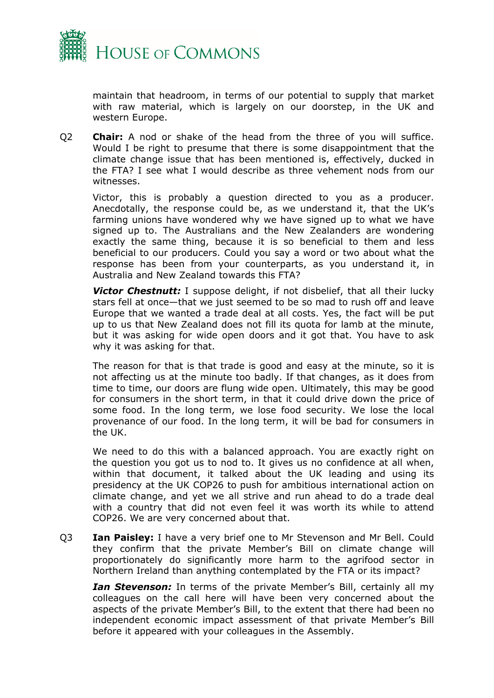

maintain that headroom, in terms of our potential to supply that market with raw material, which is largely on our doorstep, in the UK and western Europe.

Q2 **Chair:** A nod or shake of the head from the three of you will suffice. Would I be right to presume that there is some disappointment that the climate change issue that has been mentioned is, effectively, ducked in the FTA? I see what I would describe as three vehement nods from our witnesses.

Victor, this is probably a question directed to you as a producer. Anecdotally, the response could be, as we understand it, that the UK's farming unions have wondered why we have signed up to what we have signed up to. The Australians and the New Zealanders are wondering exactly the same thing, because it is so beneficial to them and less beneficial to our producers. Could you say a word or two about what the response has been from your counterparts, as you understand it, in Australia and New Zealand towards this FTA?

*Victor Chestnutt:* I suppose delight, if not disbelief, that all their lucky stars fell at once—that we just seemed to be so mad to rush off and leave Europe that we wanted a trade deal at all costs. Yes, the fact will be put up to us that New Zealand does not fill its quota for lamb at the minute, but it was asking for wide open doors and it got that. You have to ask why it was asking for that.

The reason for that is that trade is good and easy at the minute, so it is not affecting us at the minute too badly. If that changes, as it does from time to time, our doors are flung wide open. Ultimately, this may be good for consumers in the short term, in that it could drive down the price of some food. In the long term, we lose food security. We lose the local provenance of our food. In the long term, it will be bad for consumers in the UK.

We need to do this with a balanced approach. You are exactly right on the question you got us to nod to. It gives us no confidence at all when, within that document, it talked about the UK leading and using its presidency at the UK COP26 to push for ambitious international action on climate change, and yet we all strive and run ahead to do a trade deal with a country that did not even feel it was worth its while to attend COP26. We are very concerned about that.

Q3 **Ian Paisley:** I have a very brief one to Mr Stevenson and Mr Bell. Could they confirm that the private Member's Bill on climate change will proportionately do significantly more harm to the agrifood sector in Northern Ireland than anything contemplated by the FTA or its impact?

*Ian Stevenson:* In terms of the private Member's Bill, certainly all my colleagues on the call here will have been very concerned about the aspects of the private Member's Bill, to the extent that there had been no independent economic impact assessment of that private Member's Bill before it appeared with your colleagues in the Assembly.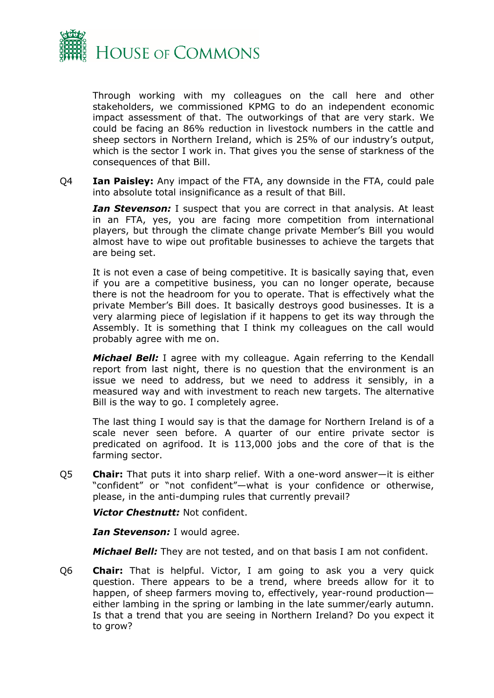

Through working with my colleagues on the call here and other stakeholders, we commissioned KPMG to do an independent economic impact assessment of that. The outworkings of that are very stark. We could be facing an 86% reduction in livestock numbers in the cattle and sheep sectors in Northern Ireland, which is 25% of our industry's output, which is the sector I work in. That gives you the sense of starkness of the consequences of that Bill.

Q4 **Ian Paisley:** Any impact of the FTA, any downside in the FTA, could pale into absolute total insignificance as a result of that Bill.

*Ian Stevenson:* I suspect that you are correct in that analysis. At least in an FTA, yes, you are facing more competition from international players, but through the climate change private Member's Bill you would almost have to wipe out profitable businesses to achieve the targets that are being set.

It is not even a case of being competitive. It is basically saying that, even if you are a competitive business, you can no longer operate, because there is not the headroom for you to operate. That is effectively what the private Member's Bill does. It basically destroys good businesses. It is a very alarming piece of legislation if it happens to get its way through the Assembly. It is something that I think my colleagues on the call would probably agree with me on.

*Michael Bell:* I agree with my colleague. Again referring to the Kendall report from last night, there is no question that the environment is an issue we need to address, but we need to address it sensibly, in a measured way and with investment to reach new targets. The alternative Bill is the way to go. I completely agree.

The last thing I would say is that the damage for Northern Ireland is of a scale never seen before. A quarter of our entire private sector is predicated on agrifood. It is 113,000 jobs and the core of that is the farming sector.

Q5 **Chair:** That puts it into sharp relief. With a one-word answer—it is either "confident" or "not confident"—what is your confidence or otherwise, please, in the anti-dumping rules that currently prevail?

*Victor Chestnutt:* Not confident.

*Ian Stevenson:* I would agree.

*Michael Bell:* They are not tested, and on that basis I am not confident.

Q6 **Chair:** That is helpful. Victor, I am going to ask you a very quick question. There appears to be a trend, where breeds allow for it to happen, of sheep farmers moving to, effectively, year-round production either lambing in the spring or lambing in the late summer/early autumn. Is that a trend that you are seeing in Northern Ireland? Do you expect it to grow?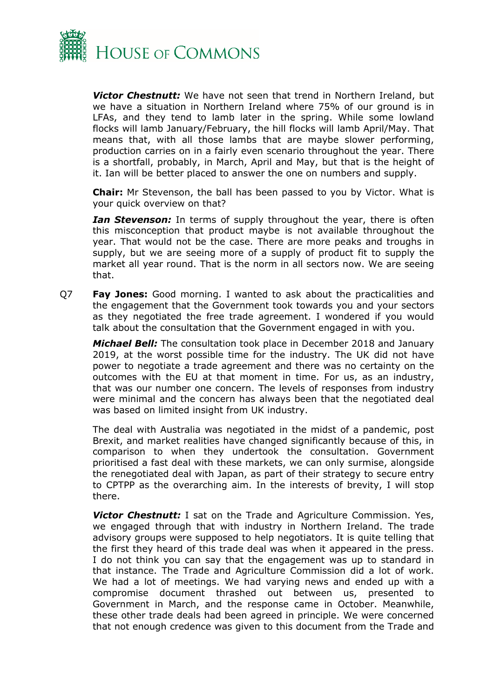

*Victor Chestnutt:* We have not seen that trend in Northern Ireland, but we have a situation in Northern Ireland where 75% of our ground is in LFAs, and they tend to lamb later in the spring. While some lowland flocks will lamb January/February, the hill flocks will lamb April/May. That means that, with all those lambs that are maybe slower performing, production carries on in a fairly even scenario throughout the year. There is a shortfall, probably, in March, April and May, but that is the height of it. Ian will be better placed to answer the one on numbers and supply.

**Chair:** Mr Stevenson, the ball has been passed to you by Victor. What is your quick overview on that?

*Ian Stevenson:* In terms of supply throughout the year, there is often this misconception that product maybe is not available throughout the year. That would not be the case. There are more peaks and troughs in supply, but we are seeing more of a supply of product fit to supply the market all year round. That is the norm in all sectors now. We are seeing that.

Q7 **Fay Jones:** Good morning. I wanted to ask about the practicalities and the engagement that the Government took towards you and your sectors as they negotiated the free trade agreement. I wondered if you would talk about the consultation that the Government engaged in with you.

*Michael Bell:* The consultation took place in December 2018 and January 2019, at the worst possible time for the industry. The UK did not have power to negotiate a trade agreement and there was no certainty on the outcomes with the EU at that moment in time. For us, as an industry, that was our number one concern. The levels of responses from industry were minimal and the concern has always been that the negotiated deal was based on limited insight from UK industry.

The deal with Australia was negotiated in the midst of a pandemic, post Brexit, and market realities have changed significantly because of this, in comparison to when they undertook the consultation. Government prioritised a fast deal with these markets, we can only surmise, alongside the renegotiated deal with Japan, as part of their strategy to secure entry to CPTPP as the overarching aim. In the interests of brevity, I will stop there.

*Victor Chestnutt:* I sat on the Trade and Agriculture Commission. Yes, we engaged through that with industry in Northern Ireland. The trade advisory groups were supposed to help negotiators. It is quite telling that the first they heard of this trade deal was when it appeared in the press. I do not think you can say that the engagement was up to standard in that instance. The Trade and Agriculture Commission did a lot of work. We had a lot of meetings. We had varying news and ended up with a compromise document thrashed out between us, presented to Government in March, and the response came in October. Meanwhile, these other trade deals had been agreed in principle. We were concerned that not enough credence was given to this document from the Trade and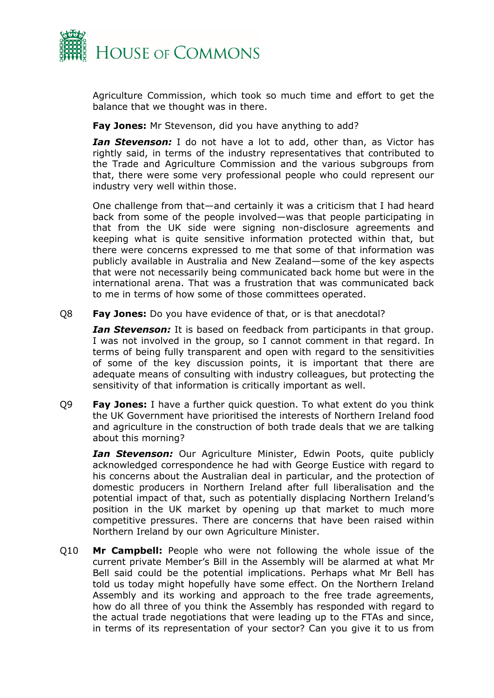

Agriculture Commission, which took so much time and effort to get the balance that we thought was in there.

**Fay Jones:** Mr Stevenson, did you have anything to add?

*Ian Stevenson:* I do not have a lot to add, other than, as Victor has rightly said, in terms of the industry representatives that contributed to the Trade and Agriculture Commission and the various subgroups from that, there were some very professional people who could represent our industry very well within those.

One challenge from that—and certainly it was a criticism that I had heard back from some of the people involved—was that people participating in that from the UK side were signing non-disclosure agreements and keeping what is quite sensitive information protected within that, but there were concerns expressed to me that some of that information was publicly available in Australia and New Zealand—some of the key aspects that were not necessarily being communicated back home but were in the international arena. That was a frustration that was communicated back to me in terms of how some of those committees operated.

Q8 **Fay Jones:** Do you have evidence of that, or is that anecdotal?

*Ian Stevenson:* It is based on feedback from participants in that group. I was not involved in the group, so I cannot comment in that regard. In terms of being fully transparent and open with regard to the sensitivities of some of the key discussion points, it is important that there are adequate means of consulting with industry colleagues, but protecting the sensitivity of that information is critically important as well.

Q9 **Fay Jones:** I have a further quick question. To what extent do you think the UK Government have prioritised the interests of Northern Ireland food and agriculture in the construction of both trade deals that we are talking about this morning?

*Ian Stevenson:* Our Agriculture Minister, Edwin Poots, quite publicly acknowledged correspondence he had with George Eustice with regard to his concerns about the Australian deal in particular, and the protection of domestic producers in Northern Ireland after full liberalisation and the potential impact of that, such as potentially displacing Northern Ireland's position in the UK market by opening up that market to much more competitive pressures. There are concerns that have been raised within Northern Ireland by our own Agriculture Minister.

Q10 **Mr Campbell:** People who were not following the whole issue of the current private Member's Bill in the Assembly will be alarmed at what Mr Bell said could be the potential implications. Perhaps what Mr Bell has told us today might hopefully have some effect. On the Northern Ireland Assembly and its working and approach to the free trade agreements, how do all three of you think the Assembly has responded with regard to the actual trade negotiations that were leading up to the FTAs and since, in terms of its representation of your sector? Can you give it to us from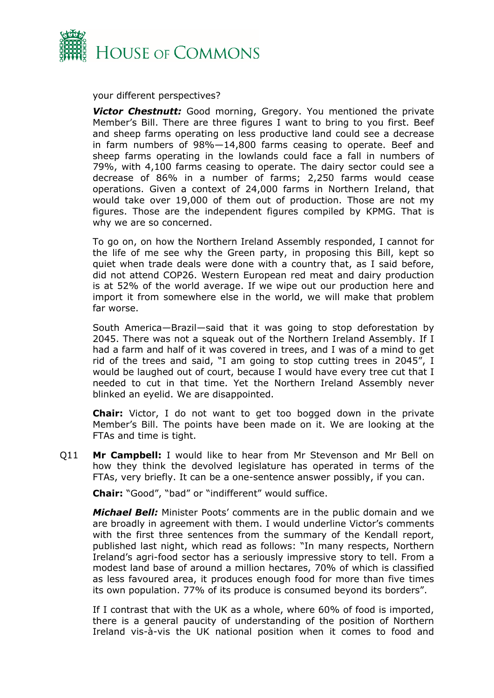

your different perspectives?

*Victor Chestnutt:* Good morning, Gregory. You mentioned the private Member's Bill. There are three figures I want to bring to you first. Beef and sheep farms operating on less productive land could see a decrease in farm numbers of 98%—14,800 farms ceasing to operate. Beef and sheep farms operating in the lowlands could face a fall in numbers of 79%, with 4,100 farms ceasing to operate. The dairy sector could see a decrease of 86% in a number of farms; 2,250 farms would cease operations. Given a context of 24,000 farms in Northern Ireland, that would take over 19,000 of them out of production. Those are not my figures. Those are the independent figures compiled by KPMG. That is why we are so concerned.

To go on, on how the Northern Ireland Assembly responded, I cannot for the life of me see why the Green party, in proposing this Bill, kept so quiet when trade deals were done with a country that, as I said before, did not attend COP26. Western European red meat and dairy production is at 52% of the world average. If we wipe out our production here and import it from somewhere else in the world, we will make that problem far worse.

South America—Brazil—said that it was going to stop deforestation by 2045. There was not a squeak out of the Northern Ireland Assembly. If I had a farm and half of it was covered in trees, and I was of a mind to get rid of the trees and said, "I am going to stop cutting trees in 2045", I would be laughed out of court, because I would have every tree cut that I needed to cut in that time. Yet the Northern Ireland Assembly never blinked an eyelid. We are disappointed.

**Chair:** Victor, I do not want to get too bogged down in the private Member's Bill. The points have been made on it. We are looking at the FTAs and time is tight.

Q11 **Mr Campbell:** I would like to hear from Mr Stevenson and Mr Bell on how they think the devolved legislature has operated in terms of the FTAs, very briefly. It can be a one-sentence answer possibly, if you can.

**Chair:** "Good", "bad" or "indifferent" would suffice.

*Michael Bell:* Minister Poots' comments are in the public domain and we are broadly in agreement with them. I would underline Victor's comments with the first three sentences from the summary of the Kendall report, published last night, which read as follows: "In many respects, Northern Ireland's agri-food sector has a seriously impressive story to tell. From a modest land base of around a million hectares, 70% of which is classified as less favoured area, it produces enough food for more than five times its own population. 77% of its produce is consumed beyond its borders".

If I contrast that with the UK as a whole, where 60% of food is imported, there is a general paucity of understanding of the position of Northern Ireland vis-à-vis the UK national position when it comes to food and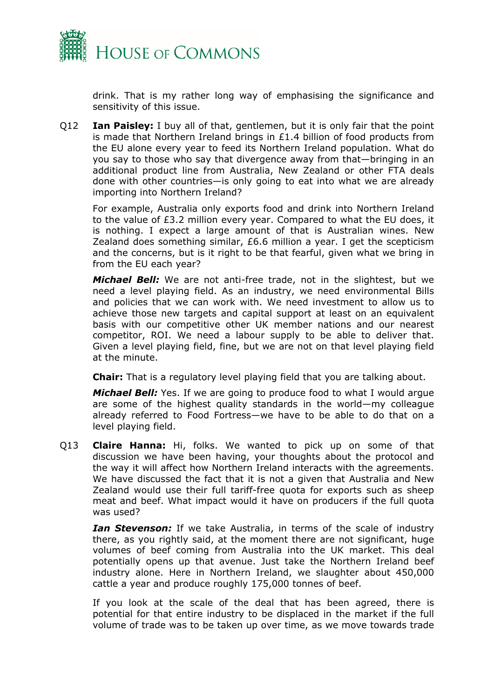

drink. That is my rather long way of emphasising the significance and sensitivity of this issue.

Q12 **Ian Paisley:** I buy all of that, gentlemen, but it is only fair that the point is made that Northern Ireland brings in  $E1.4$  billion of food products from the EU alone every year to feed its Northern Ireland population. What do you say to those who say that divergence away from that—bringing in an additional product line from Australia, New Zealand or other FTA deals done with other countries—is only going to eat into what we are already importing into Northern Ireland?

For example, Australia only exports food and drink into Northern Ireland to the value of £3.2 million every year. Compared to what the EU does, it is nothing. I expect a large amount of that is Australian wines. New Zealand does something similar, £6.6 million a year. I get the scepticism and the concerns, but is it right to be that fearful, given what we bring in from the EU each year?

*Michael Bell:* We are not anti-free trade, not in the slightest, but we need a level playing field. As an industry, we need environmental Bills and policies that we can work with. We need investment to allow us to achieve those new targets and capital support at least on an equivalent basis with our competitive other UK member nations and our nearest competitor, ROI. We need a labour supply to be able to deliver that. Given a level playing field, fine, but we are not on that level playing field at the minute.

**Chair:** That is a regulatory level playing field that you are talking about.

*Michael Bell:* Yes. If we are going to produce food to what I would argue are some of the highest quality standards in the world—my colleague already referred to Food Fortress—we have to be able to do that on a level playing field.

Q13 **Claire Hanna:** Hi, folks. We wanted to pick up on some of that discussion we have been having, your thoughts about the protocol and the way it will affect how Northern Ireland interacts with the agreements. We have discussed the fact that it is not a given that Australia and New Zealand would use their full tariff-free quota for exports such as sheep meat and beef. What impact would it have on producers if the full quota was used?

*Ian Stevenson:* If we take Australia, in terms of the scale of industry there, as you rightly said, at the moment there are not significant, huge volumes of beef coming from Australia into the UK market. This deal potentially opens up that avenue. Just take the Northern Ireland beef industry alone. Here in Northern Ireland, we slaughter about 450,000 cattle a year and produce roughly 175,000 tonnes of beef.

If you look at the scale of the deal that has been agreed, there is potential for that entire industry to be displaced in the market if the full volume of trade was to be taken up over time, as we move towards trade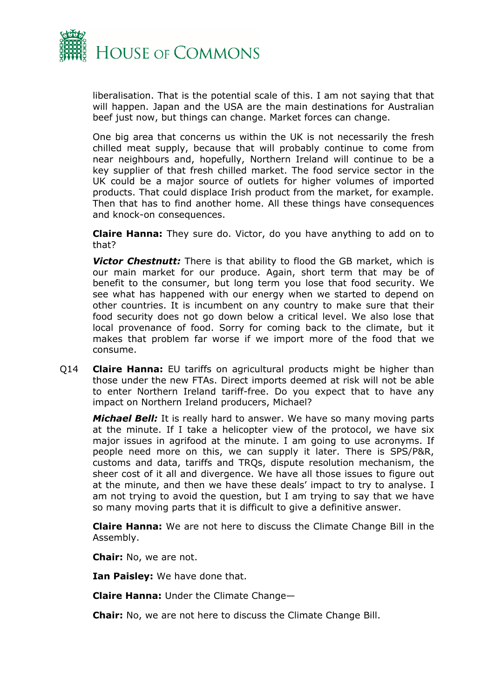

liberalisation. That is the potential scale of this. I am not saying that that will happen. Japan and the USA are the main destinations for Australian beef just now, but things can change. Market forces can change.

One big area that concerns us within the UK is not necessarily the fresh chilled meat supply, because that will probably continue to come from near neighbours and, hopefully, Northern Ireland will continue to be a key supplier of that fresh chilled market. The food service sector in the UK could be a major source of outlets for higher volumes of imported products. That could displace Irish product from the market, for example. Then that has to find another home. All these things have consequences and knock-on consequences.

**Claire Hanna:** They sure do. Victor, do you have anything to add on to that?

*Victor Chestnutt:* There is that ability to flood the GB market, which is our main market for our produce. Again, short term that may be of benefit to the consumer, but long term you lose that food security. We see what has happened with our energy when we started to depend on other countries. It is incumbent on any country to make sure that their food security does not go down below a critical level. We also lose that local provenance of food. Sorry for coming back to the climate, but it makes that problem far worse if we import more of the food that we consume.

Q14 **Claire Hanna:** EU tariffs on agricultural products might be higher than those under the new FTAs. Direct imports deemed at risk will not be able to enter Northern Ireland tariff-free. Do you expect that to have any impact on Northern Ireland producers, Michael?

*Michael Bell:* It is really hard to answer. We have so many moving parts at the minute. If I take a helicopter view of the protocol, we have six major issues in agrifood at the minute. I am going to use acronyms. If people need more on this, we can supply it later. There is SPS/P&R, customs and data, tariffs and TRQs, dispute resolution mechanism, the sheer cost of it all and divergence. We have all those issues to figure out at the minute, and then we have these deals' impact to try to analyse. I am not trying to avoid the question, but I am trying to say that we have so many moving parts that it is difficult to give a definitive answer.

**Claire Hanna:** We are not here to discuss the Climate Change Bill in the Assembly.

**Chair:** No, we are not.

**Ian Paisley:** We have done that.

**Claire Hanna:** Under the Climate Change—

**Chair:** No, we are not here to discuss the Climate Change Bill.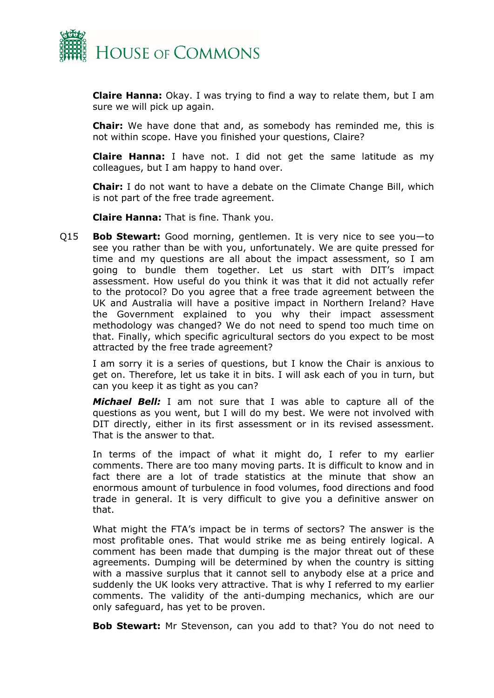

**Claire Hanna:** Okay. I was trying to find a way to relate them, but I am sure we will pick up again.

**Chair:** We have done that and, as somebody has reminded me, this is not within scope. Have you finished your questions, Claire?

**Claire Hanna:** I have not. I did not get the same latitude as my colleagues, but I am happy to hand over.

**Chair:** I do not want to have a debate on the Climate Change Bill, which is not part of the free trade agreement.

**Claire Hanna:** That is fine. Thank you.

Q15 **Bob Stewart:** Good morning, gentlemen. It is very nice to see you—to see you rather than be with you, unfortunately. We are quite pressed for time and my questions are all about the impact assessment, so I am going to bundle them together. Let us start with DIT's impact assessment. How useful do you think it was that it did not actually refer to the protocol? Do you agree that a free trade agreement between the UK and Australia will have a positive impact in Northern Ireland? Have the Government explained to you why their impact assessment methodology was changed? We do not need to spend too much time on that. Finally, which specific agricultural sectors do you expect to be most attracted by the free trade agreement?

I am sorry it is a series of questions, but I know the Chair is anxious to get on. Therefore, let us take it in bits. I will ask each of you in turn, but can you keep it as tight as you can?

*Michael Bell:* I am not sure that I was able to capture all of the questions as you went, but I will do my best. We were not involved with DIT directly, either in its first assessment or in its revised assessment. That is the answer to that.

In terms of the impact of what it might do, I refer to my earlier comments. There are too many moving parts. It is difficult to know and in fact there are a lot of trade statistics at the minute that show an enormous amount of turbulence in food volumes, food directions and food trade in general. It is very difficult to give you a definitive answer on that.

What might the FTA's impact be in terms of sectors? The answer is the most profitable ones. That would strike me as being entirely logical. A comment has been made that dumping is the major threat out of these agreements. Dumping will be determined by when the country is sitting with a massive surplus that it cannot sell to anybody else at a price and suddenly the UK looks very attractive. That is why I referred to my earlier comments. The validity of the anti-dumping mechanics, which are our only safeguard, has yet to be proven.

**Bob Stewart:** Mr Stevenson, can you add to that? You do not need to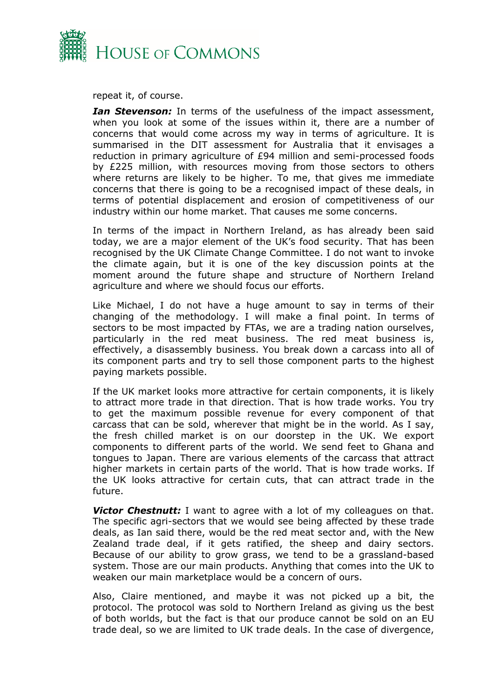

repeat it, of course.

*Ian Stevenson:* In terms of the usefulness of the impact assessment, when you look at some of the issues within it, there are a number of concerns that would come across my way in terms of agriculture. It is summarised in the DIT assessment for Australia that it envisages a reduction in primary agriculture of £94 million and semi-processed foods by £225 million, with resources moving from those sectors to others where returns are likely to be higher. To me, that gives me immediate concerns that there is going to be a recognised impact of these deals, in terms of potential displacement and erosion of competitiveness of our industry within our home market. That causes me some concerns.

In terms of the impact in Northern Ireland, as has already been said today, we are a major element of the UK's food security. That has been recognised by the UK Climate Change Committee. I do not want to invoke the climate again, but it is one of the key discussion points at the moment around the future shape and structure of Northern Ireland agriculture and where we should focus our efforts.

Like Michael, I do not have a huge amount to say in terms of their changing of the methodology. I will make a final point. In terms of sectors to be most impacted by FTAs, we are a trading nation ourselves, particularly in the red meat business. The red meat business is, effectively, a disassembly business. You break down a carcass into all of its component parts and try to sell those component parts to the highest paying markets possible.

If the UK market looks more attractive for certain components, it is likely to attract more trade in that direction. That is how trade works. You try to get the maximum possible revenue for every component of that carcass that can be sold, wherever that might be in the world. As I say, the fresh chilled market is on our doorstep in the UK. We export components to different parts of the world. We send feet to Ghana and tongues to Japan. There are various elements of the carcass that attract higher markets in certain parts of the world. That is how trade works. If the UK looks attractive for certain cuts, that can attract trade in the future.

**Victor Chestnutt:** I want to agree with a lot of my colleagues on that. The specific agri-sectors that we would see being affected by these trade deals, as Ian said there, would be the red meat sector and, with the New Zealand trade deal, if it gets ratified, the sheep and dairy sectors. Because of our ability to grow grass, we tend to be a grassland-based system. Those are our main products. Anything that comes into the UK to weaken our main marketplace would be a concern of ours.

Also, Claire mentioned, and maybe it was not picked up a bit, the protocol. The protocol was sold to Northern Ireland as giving us the best of both worlds, but the fact is that our produce cannot be sold on an EU trade deal, so we are limited to UK trade deals. In the case of divergence,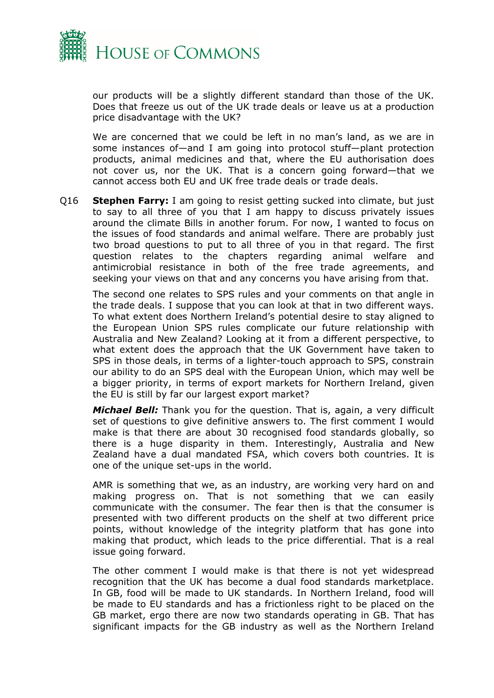

our products will be a slightly different standard than those of the UK. Does that freeze us out of the UK trade deals or leave us at a production price disadvantage with the UK?

We are concerned that we could be left in no man's land, as we are in some instances of—and I am going into protocol stuff—plant protection products, animal medicines and that, where the EU authorisation does not cover us, nor the UK. That is a concern going forward—that we cannot access both EU and UK free trade deals or trade deals.

Q16 **Stephen Farry:** I am going to resist getting sucked into climate, but just to say to all three of you that I am happy to discuss privately issues around the climate Bills in another forum. For now, I wanted to focus on the issues of food standards and animal welfare. There are probably just two broad questions to put to all three of you in that regard. The first question relates to the chapters regarding animal welfare and antimicrobial resistance in both of the free trade agreements, and seeking your views on that and any concerns you have arising from that.

The second one relates to SPS rules and your comments on that angle in the trade deals. I suppose that you can look at that in two different ways. To what extent does Northern Ireland's potential desire to stay aligned to the European Union SPS rules complicate our future relationship with Australia and New Zealand? Looking at it from a different perspective, to what extent does the approach that the UK Government have taken to SPS in those deals, in terms of a lighter-touch approach to SPS, constrain our ability to do an SPS deal with the European Union, which may well be a bigger priority, in terms of export markets for Northern Ireland, given the EU is still by far our largest export market?

*Michael Bell:* Thank you for the question. That is, again, a very difficult set of questions to give definitive answers to. The first comment I would make is that there are about 30 recognised food standards globally, so there is a huge disparity in them. Interestingly, Australia and New Zealand have a dual mandated FSA, which covers both countries. It is one of the unique set-ups in the world.

AMR is something that we, as an industry, are working very hard on and making progress on. That is not something that we can easily communicate with the consumer. The fear then is that the consumer is presented with two different products on the shelf at two different price points, without knowledge of the integrity platform that has gone into making that product, which leads to the price differential. That is a real issue going forward.

The other comment I would make is that there is not yet widespread recognition that the UK has become a dual food standards marketplace. In GB, food will be made to UK standards. In Northern Ireland, food will be made to EU standards and has a frictionless right to be placed on the GB market, ergo there are now two standards operating in GB. That has significant impacts for the GB industry as well as the Northern Ireland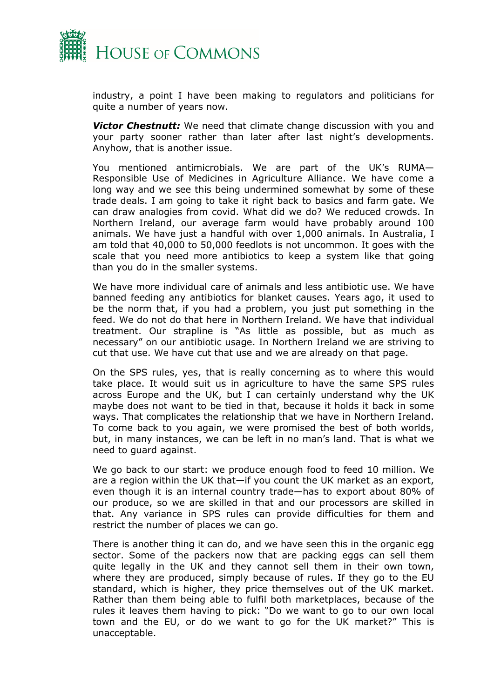

industry, a point I have been making to regulators and politicians for quite a number of years now.

*Victor Chestnutt:* We need that climate change discussion with you and your party sooner rather than later after last night's developments. Anyhow, that is another issue.

You mentioned antimicrobials. We are part of the UK's RUMA— Responsible Use of Medicines in Agriculture Alliance. We have come a long way and we see this being undermined somewhat by some of these trade deals. I am going to take it right back to basics and farm gate. We can draw analogies from covid. What did we do? We reduced crowds. In Northern Ireland, our average farm would have probably around 100 animals. We have just a handful with over 1,000 animals. In Australia, I am told that 40,000 to 50,000 feedlots is not uncommon. It goes with the scale that you need more antibiotics to keep a system like that going than you do in the smaller systems.

We have more individual care of animals and less antibiotic use. We have banned feeding any antibiotics for blanket causes. Years ago, it used to be the norm that, if you had a problem, you just put something in the feed. We do not do that here in Northern Ireland. We have that individual treatment. Our strapline is "As little as possible, but as much as necessary" on our antibiotic usage. In Northern Ireland we are striving to cut that use. We have cut that use and we are already on that page.

On the SPS rules, yes, that is really concerning as to where this would take place. It would suit us in agriculture to have the same SPS rules across Europe and the UK, but I can certainly understand why the UK maybe does not want to be tied in that, because it holds it back in some ways. That complicates the relationship that we have in Northern Ireland. To come back to you again, we were promised the best of both worlds, but, in many instances, we can be left in no man's land. That is what we need to guard against.

We go back to our start: we produce enough food to feed 10 million. We are a region within the UK that—if you count the UK market as an export, even though it is an internal country trade—has to export about 80% of our produce, so we are skilled in that and our processors are skilled in that. Any variance in SPS rules can provide difficulties for them and restrict the number of places we can go.

There is another thing it can do, and we have seen this in the organic egg sector. Some of the packers now that are packing eggs can sell them quite legally in the UK and they cannot sell them in their own town, where they are produced, simply because of rules. If they go to the EU standard, which is higher, they price themselves out of the UK market. Rather than them being able to fulfil both marketplaces, because of the rules it leaves them having to pick: "Do we want to go to our own local town and the EU, or do we want to go for the UK market?" This is unacceptable.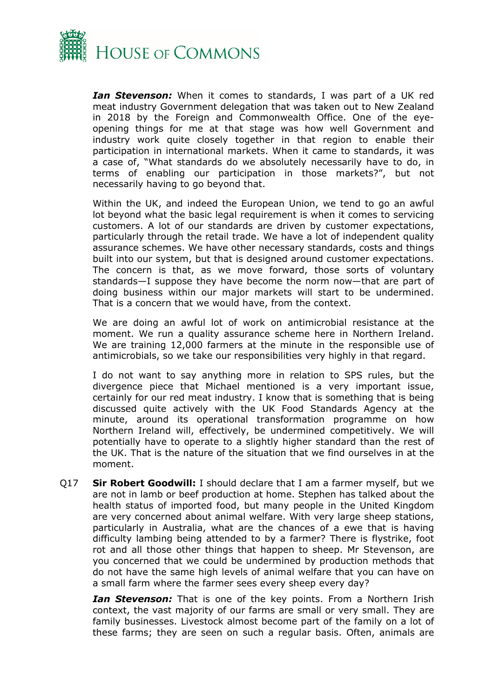

*Ian Stevenson:* When it comes to standards, I was part of a UK red meat industry Government delegation that was taken out to New Zealand in 2018 by the Foreign and Commonwealth Office. One of the eyeopening things for me at that stage was how well Government and industry work quite closely together in that region to enable their participation in international markets. When it came to standards, it was a case of, "What standards do we absolutely necessarily have to do, in terms of enabling our participation in those markets?", but not necessarily having to go beyond that.

Within the UK, and indeed the European Union, we tend to go an awful lot beyond what the basic legal requirement is when it comes to servicing customers. A lot of our standards are driven by customer expectations, particularly through the retail trade. We have a lot of independent quality assurance schemes. We have other necessary standards, costs and things built into our system, but that is designed around customer expectations. The concern is that, as we move forward, those sorts of voluntary standards—I suppose they have become the norm now—that are part of doing business within our major markets will start to be undermined. That is a concern that we would have, from the context.

We are doing an awful lot of work on antimicrobial resistance at the moment. We run a quality assurance scheme here in Northern Ireland. We are training 12,000 farmers at the minute in the responsible use of antimicrobials, so we take our responsibilities very highly in that regard.

I do not want to say anything more in relation to SPS rules, but the divergence piece that Michael mentioned is a very important issue, certainly for our red meat industry. I know that is something that is being discussed quite actively with the UK Food Standards Agency at the minute, around its operational transformation programme on how Northern Ireland will, effectively, be undermined competitively. We will potentially have to operate to a slightly higher standard than the rest of the UK. That is the nature of the situation that we find ourselves in at the moment.

Q17 **Sir Robert Goodwill:** I should declare that I am a farmer myself, but we are not in lamb or beef production at home. Stephen has talked about the health status of imported food, but many people in the United Kingdom are very concerned about animal welfare. With very large sheep stations, particularly in Australia, what are the chances of a ewe that is having difficulty lambing being attended to by a farmer? There is flystrike, foot rot and all those other things that happen to sheep. Mr Stevenson, are you concerned that we could be undermined by production methods that do not have the same high levels of animal welfare that you can have on a small farm where the farmer sees every sheep every day?

*Ian Stevenson:* That is one of the key points. From a Northern Irish context, the vast majority of our farms are small or very small. They are family businesses. Livestock almost become part of the family on a lot of these farms; they are seen on such a regular basis. Often, animals are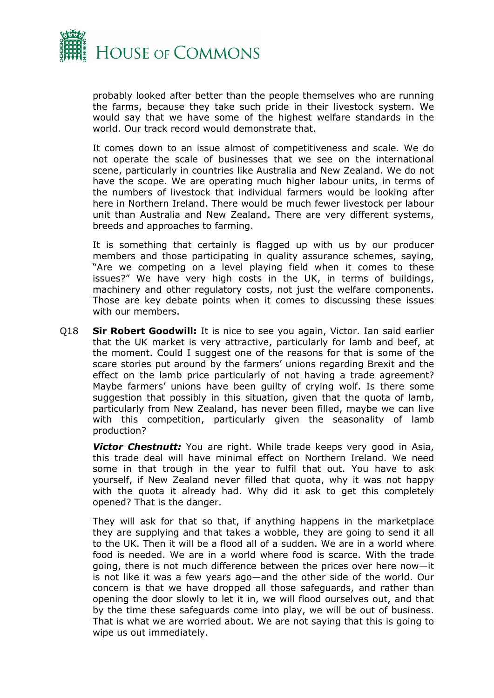

probably looked after better than the people themselves who are running the farms, because they take such pride in their livestock system. We would say that we have some of the highest welfare standards in the world. Our track record would demonstrate that.

It comes down to an issue almost of competitiveness and scale. We do not operate the scale of businesses that we see on the international scene, particularly in countries like Australia and New Zealand. We do not have the scope. We are operating much higher labour units, in terms of the numbers of livestock that individual farmers would be looking after here in Northern Ireland. There would be much fewer livestock per labour unit than Australia and New Zealand. There are very different systems, breeds and approaches to farming.

It is something that certainly is flagged up with us by our producer members and those participating in quality assurance schemes, saying, "Are we competing on a level playing field when it comes to these issues?" We have very high costs in the UK, in terms of buildings, machinery and other regulatory costs, not just the welfare components. Those are key debate points when it comes to discussing these issues with our members.

Q18 **Sir Robert Goodwill:** It is nice to see you again, Victor. Ian said earlier that the UK market is very attractive, particularly for lamb and beef, at the moment. Could I suggest one of the reasons for that is some of the scare stories put around by the farmers' unions regarding Brexit and the effect on the lamb price particularly of not having a trade agreement? Maybe farmers' unions have been guilty of crying wolf. Is there some suggestion that possibly in this situation, given that the quota of lamb, particularly from New Zealand, has never been filled, maybe we can live with this competition, particularly given the seasonality of lamb production?

**Victor Chestnutt:** You are right. While trade keeps very good in Asia, this trade deal will have minimal effect on Northern Ireland. We need some in that trough in the year to fulfil that out. You have to ask yourself, if New Zealand never filled that quota, why it was not happy with the quota it already had. Why did it ask to get this completely opened? That is the danger.

They will ask for that so that, if anything happens in the marketplace they are supplying and that takes a wobble, they are going to send it all to the UK. Then it will be a flood all of a sudden. We are in a world where food is needed. We are in a world where food is scarce. With the trade going, there is not much difference between the prices over here now—it is not like it was a few years ago—and the other side of the world. Our concern is that we have dropped all those safeguards, and rather than opening the door slowly to let it in, we will flood ourselves out, and that by the time these safeguards come into play, we will be out of business. That is what we are worried about. We are not saying that this is going to wipe us out immediately.